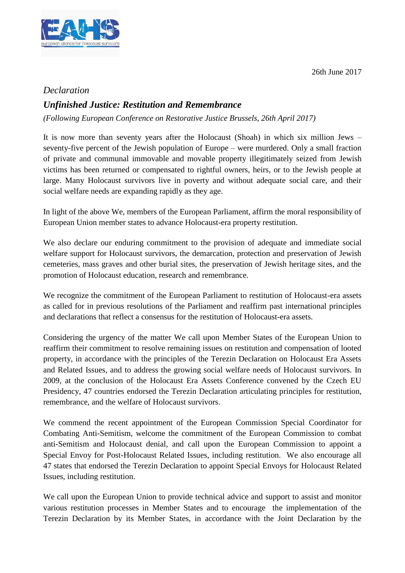26th June 2017



## *Declaration*

## *Unfinished Justice: Restitution and Remembrance*

*(Following European Conference on Restorative Justice Brussels, 26th April 2017)*

It is now more than seventy years after the Holocaust (Shoah) in which six million Jews – seventy-five percent of the Jewish population of Europe – were murdered. Only a small fraction of private and communal immovable and movable property illegitimately seized from Jewish victims has been returned or compensated to rightful owners, heirs, or to the Jewish people at large. Many Holocaust survivors live in poverty and without adequate social care, and their social welfare needs are expanding rapidly as they age.

In light of the above We, members of the European Parliament, affirm the moral responsibility of European Union member states to advance Holocaust-era property restitution.

We also declare our enduring commitment to the provision of adequate and immediate social welfare support for Holocaust survivors, the demarcation, protection and preservation of Jewish cemeteries, mass graves and other burial sites, the preservation of Jewish heritage sites, and the promotion of Holocaust education, research and remembrance.

We recognize the commitment of the European Parliament to restitution of Holocaust-era assets as called for in previous resolutions of the Parliament and reaffirm past international principles and declarations that reflect a consensus for the restitution of Holocaust-era assets.

Considering the urgency of the matter We call upon Member States of the European Union to reaffirm their commitment to resolve remaining issues on restitution and compensation of looted property, in accordance with the principles of the Terezin Declaration on Holocaust Era Assets and Related Issues, and to address the growing social welfare needs of Holocaust survivors. In 2009, at the conclusion of the Holocaust Era Assets Conference convened by the Czech EU Presidency, 47 countries endorsed the Terezin Declaration articulating principles for restitution, remembrance, and the welfare of Holocaust survivors.

We commend the recent appointment of the European Commission Special Coordinator for Combating Anti-Semitism, welcome the commitment of the European Commission to combat anti-Semitism and Holocaust denial, and call upon the European Commission to appoint a Special Envoy for Post-Holocaust Related Issues, including restitution. We also encourage all 47 states that endorsed the Terezin Declaration to appoint Special Envoys for Holocaust Related Issues, including restitution.

We call upon the European Union to provide technical advice and support to assist and monitor various restitution processes in Member States and to encourage the implementation of the Terezin Declaration by its Member States, in accordance with the Joint Declaration by the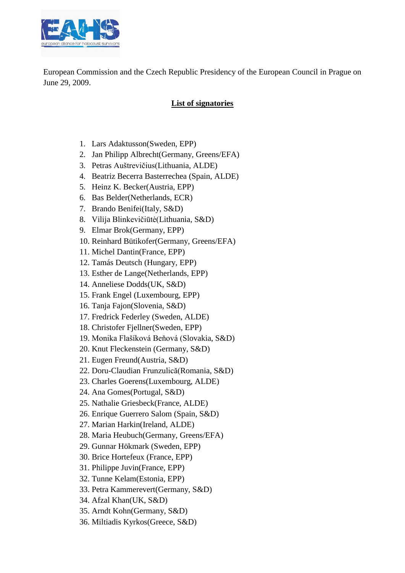

European Commission and the Czech Republic Presidency of the European Council in Prague on June 29, 2009.

## **List of signatories**

- 1. Lars Adaktusson(Sweden, EPP)
- 2. Jan Philipp Albrecht(Germany, Greens/EFA)
- 3. Petras Auštrevičius(Lithuania, ALDE)
- 4. Beatriz Becerra Basterrechea (Spain, ALDE)
- 5. Heinz K. Becker(Austria, EPP)
- 6. Bas Belder(Netherlands, ECR)
- 7. Brando Benifei(Italy, S&D)
- 8. Vilija Blinkevičiūtė(Lithuania, S&D)
- 9. Elmar Brok(Germany, EPP)
- 10. Reinhard Bütikofer(Germany, Greens/EFA)
- 11. Michel Dantin(France, EPP)
- 12. Tamás Deutsch (Hungary, EPP)
- 13. Esther de Lange(Netherlands, EPP)
- 14. Anneliese Dodds(UK, S&D)
- 15. Frank Engel (Luxembourg, EPP)
- 16. Tanja Fajon(Slovenia, S&D)
- 17. Fredrick Federley (Sweden, ALDE)
- 18. Christofer Fjellner(Sweden, EPP)
- 19. Monika Flašíková Beňová (Slovakia, S&D)
- 20. Knut Fleckenstein (Germany, S&D)
- 21. Eugen Freund(Austria, S&D)
- 22. Doru-Claudian Frunzulică(Romania, S&D)
- 23. Charles Goerens(Luxembourg, ALDE)
- 24. Ana Gomes(Portugal, S&D)
- 25. Nathalie Griesbeck(France, ALDE)
- 26. Enrique Guerrero Salom (Spain, S&D)
- 27. Marian Harkin(Ireland, ALDE)
- 28. Maria Heubuch(Germany, Greens/EFA)
- 29. Gunnar Hökmark (Sweden, EPP)
- 30. Brice Hortefeux (France, EPP)
- 31. Philippe Juvin(France, EPP)
- 32. Tunne Kelam(Estonia, EPP)
- 33. Petra Kammerevert(Germany, S&D)
- 34. Afzal Khan(UK, S&D)
- 35. Arndt Kohn(Germany, S&D)
- 36. Miltiadis Kyrkos(Greece, S&D)